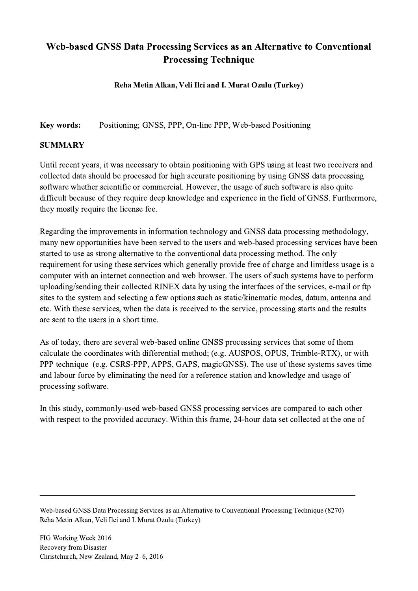## Web-based GNSS Data Processing Services as an Alternative to Conventional Processing Technique

Reha Metin Alkan, Veli Ilci and I. Murat Ozulu (Turkey)

Key words: Positioning; GNSS, PPP, On-line PPP, Web-based Positioning

## SUMMARY

Until recent years, it was necessary to obtain positioning with GPS using at least two receivers and collected data should be processed for high accurate positioning by using GNSS data processing software whether scientific or commercial. However, the usage of such software is also quite difficult because of they require deep knowledge and experience in the field of GNSS. Furthermore, they mostly require the license fee.

Regarding the improvements in information technology and GNSS data processing methodology, many new opportunities have been served to the users and web-based processing services have been started to use as strong alternative to the conventional data processing method. The only requirement for using these services which generally provide free of charge and limitless usage is a computer with an internet connection and web browser. The users of such systems have to perform uploading/sending their collected RINEX data by using the interfaces of the services, e-mail or ftp sites to the system and selecting a few options such as static/kinematic modes, datum, antenna and etc. With these services, when the data is received to the service, processing starts and the results are sent to the users in a short time.

As of today, there are several web-based online GNSS processing services that some of them calculate the coordinates with differential method; (e.g. AUSPOS, OPUS, Trimble-RTX), or with PPP technique (e.g. CSRS-PPP, APPS, GAPS, magicGNSS). The use of these systems saves time and labour force by eliminating the need for a reference station and knowledge and usage of processing software.

In this study, commonly-used web-based GNSS processing services are compared to each other with respect to the provided accuracy. Within this frame, 24-hour data set collected at the one of

Web-based GNSS Data Processing Services as an Alternative to Conventional Processing Technique (8270) Reha Metin Alkan, Veli Ilci and I. Murat Ozulu (Turkey)

 $\mathcal{L}_\mathcal{L} = \{ \mathcal{L}_\mathcal{L} = \{ \mathcal{L}_\mathcal{L} = \{ \mathcal{L}_\mathcal{L} = \{ \mathcal{L}_\mathcal{L} = \{ \mathcal{L}_\mathcal{L} = \{ \mathcal{L}_\mathcal{L} = \{ \mathcal{L}_\mathcal{L} = \{ \mathcal{L}_\mathcal{L} = \{ \mathcal{L}_\mathcal{L} = \{ \mathcal{L}_\mathcal{L} = \{ \mathcal{L}_\mathcal{L} = \{ \mathcal{L}_\mathcal{L} = \{ \mathcal{L}_\mathcal{L} = \{ \mathcal{L}_\mathcal{$